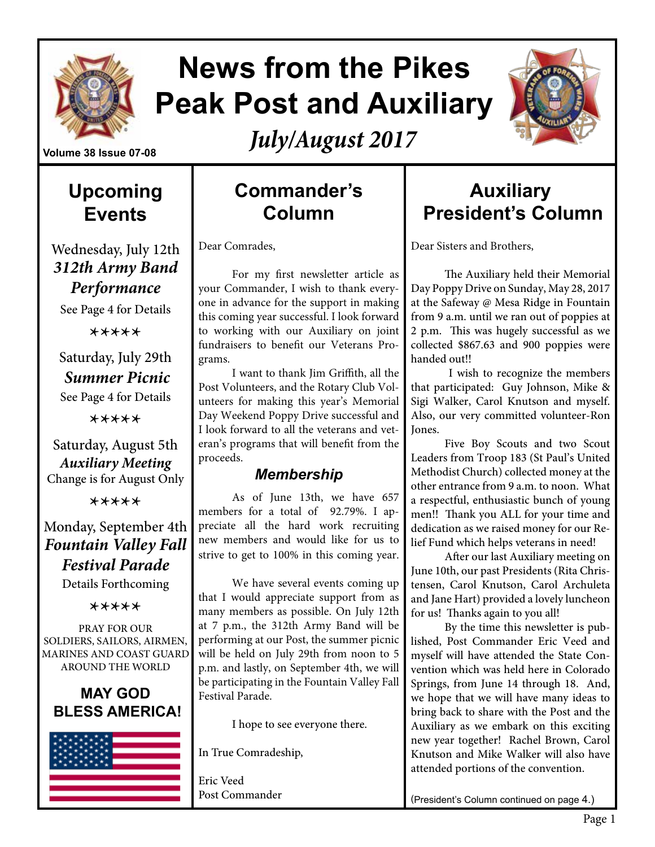

# **News from the Pikes Peak Post and Auxiliary**

*July/August 2017*

### **Upcoming Events**

Wednesday, July 12th *312th Army Band Performance* 

See Page 4 for Details

\*\*\*\*\*

Saturday, July 29th *Summer Picnic*

See Page 4 for Details

\*\*\*\*\*

Saturday, August 5th *Auxiliary Meeting* Change is for August Only

\*\*\*\*\*

#### Monday, September 4th *Fountain Valley Fall Festival Parade*

Details Forthcoming

\*\*\*\*\*

PRAY FOR OUR SOLDIERS, SAILORS, AIRMEN, MARINES AND COAST GUARD AROUND THE WORLD





### **Commander's Column**

Dear Comrades,

For my first newsletter article as your Commander, I wish to thank everyone in advance for the support in making this coming year successful. I look forward to working with our Auxiliary on joint fundraisers to benefit our Veterans Programs.

I want to thank Jim Griffith, all the Post Volunteers, and the Rotary Club Volunteers for making this year's Memorial Day Weekend Poppy Drive successful and I look forward to all the veterans and veteran's programs that will benefit from the proceeds.

#### *Membership*

As of June 13th, we have 657 members for a total of 92.79%. I appreciate all the hard work recruiting new members and would like for us to strive to get to 100% in this coming year.

We have several events coming up that I would appreciate support from as many members as possible. On July 12th at 7 p.m., the 312th Army Band will be performing at our Post, the summer picnic will be held on July 29th from noon to 5 p.m. and lastly, on September 4th, we will be participating in the Fountain Valley Fall Festival Parade.

I hope to see everyone there.

In True Comradeship,

Eric Veed Post Commander

### **Auxiliary President's Column**

Dear Sisters and Brothers,

The Auxiliary held their Memorial Day Poppy Drive on Sunday, May 28, 2017 at the Safeway @ Mesa Ridge in Fountain from 9 a.m. until we ran out of poppies at 2 p.m. This was hugely successful as we collected \$867.63 and 900 poppies were handed out!!

 I wish to recognize the members that participated: Guy Johnson, Mike & Sigi Walker, Carol Knutson and myself. Also, our very committed volunteer-Ron Jones.

Five Boy Scouts and two Scout Leaders from Troop 183 (St Paul's United Methodist Church) collected money at the other entrance from 9 a.m. to noon. What a respectful, enthusiastic bunch of young men!! Thank you ALL for your time and dedication as we raised money for our Relief Fund which helps veterans in need!

After our last Auxiliary meeting on June 10th, our past Presidents (Rita Christensen, Carol Knutson, Carol Archuleta and Jane Hart) provided a lovely luncheon for us! Thanks again to you all!

By the time this newsletter is published, Post Commander Eric Veed and myself will have attended the State Convention which was held here in Colorado Springs, from June 14 through 18. And, we hope that we will have many ideas to bring back to share with the Post and the Auxiliary as we embark on this exciting new year together! Rachel Brown, Carol Knutson and Mike Walker will also have attended portions of the convention.

(President's Column continued on page 4.)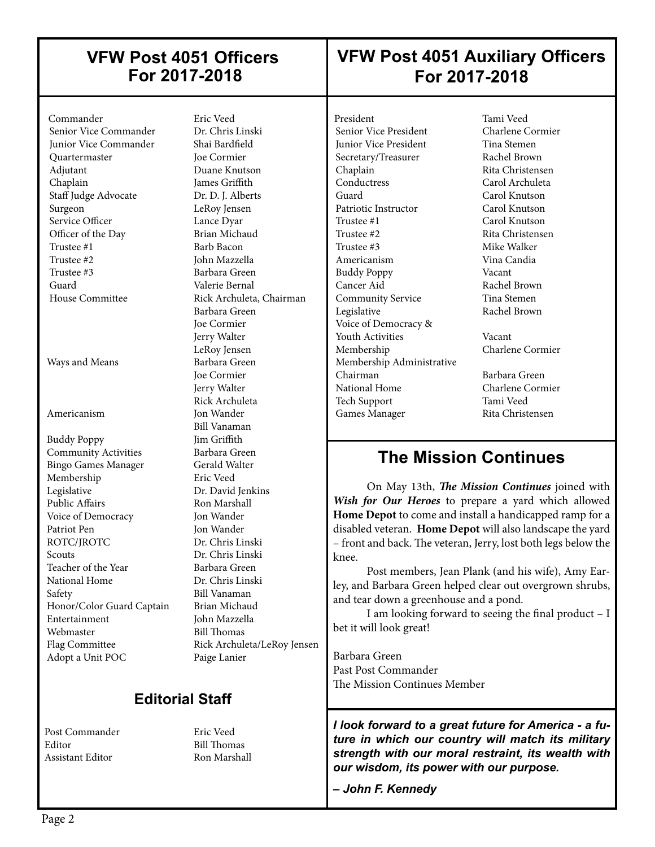### **VFW Post 4051 Officers For 2017-2018**

### **VFW Post 4051 Auxiliary Officers For 2017-2018**

 Commander Eric Veed Senior Vice Commander Junior Vice Commander Shai Bardfield Quartermaster Joe Cormier Adjutant Duane Knutson Chaplain James Griffith Staff Judge Advocate Dr. D. J. Alberts Surgeon LeRoy Jensen Service Officer Lance Dyar Officer of the Day Brian Michaud<br>Trustee #1 Barb Bacon Trustee #2 John Mazzella Trustee #3 Barbara Green Guard Valerie Bernal House Committee Rick Archuleta, Chairman

 $\overline{\phantom{a}}$ 

Ways and Means Barbara Green

Buddy Poppy Jim Griffith **Community Activities** Barbara Green<br>
Bingo Games Manager Gerald Walter Bingo Games Manager Membership Eric Veed Legislative Dr. David Jenkins Public Affairs **Ron Marshall**  Voice of Democracy Jon Wander Patriot Pen Jon Wander<br>ROTC/IROTC Dr. Chris Lii Scouts Dr. Chris Linski Teacher of the Year Barbara Green National Home Dr. Chris Linski Safety Bill Vanaman<br>Honor/Color Guard Captain Brian Michaud Honor/Color Guard Captain Entertainment John Mazzella Webmaster Bill Thomas<br>
Flag Committee Rick Archule Adopt a Unit POC Paige Lanier

Barb Bacon Barbara Green Joe Cormier Jerry Walter LeRoy Jensen Joe Cormier Jerry Walter Rick Archuleta Americanism Jon Wander Bill Vanaman Dr. Chris Linski Rick Archuleta/LeRoy Jensen

#### **Editorial Staff**

Post Commander Eric Veed Editor Bill Thomas Assistant Editor Ron Marshall

President Tami Veed<br>
Senior Vice President Charlene Cormier Senior Vice President **Junior Vice President Tina Stemen** Secretary/Treasurer Rachel Brown Chaplain Rita Christensen<br>
Carol Archuleta<br>
Carol Archuleta Guard Carol Knutson Patriotic Instructor Carol Knutson Trustee #1 Carol Knutson Trustee #2 Rita Christensen Trustee #3 Mike Walker Americanism Vina Candia Buddy Poppy Vacant Cancer Aid Rachel Brown Community Service Tina Stemen Legislative Rachel Brown Voice of Democracy & Youth Activities Vacant Membership Charlene Cormier Membership Administrative Chairman Barbara Green National Home Charlene Cormier Tech Support Tami Veed Games Manager Rita Christensen

 $\overline{\phantom{a}}$ 

Carol Archuleta

### **The Mission Continues**

On May 13th, *The Mission Continues* joined with *Wish for Our Heroes* to prepare a yard which allowed **Home Depot** to come and install a handicapped ramp for a disabled veteran. **Home Depot** will also landscape the yard – front and back. The veteran, Jerry, lost both legs below the knee.

Post members, Jean Plank (and his wife), Amy Earley, and Barbara Green helped clear out overgrown shrubs, and tear down a greenhouse and a pond.

I am looking forward to seeing the final product – I bet it will look great!

Barbara Green Past Post Commander The Mission Continues Member

*I look forward to a great future for America - a future in which our country will match its military strength with our moral restraint, its wealth with our wisdom, its power with our purpose.* 

*– John F. Kennedy*

 $\overline{\phantom{a}}$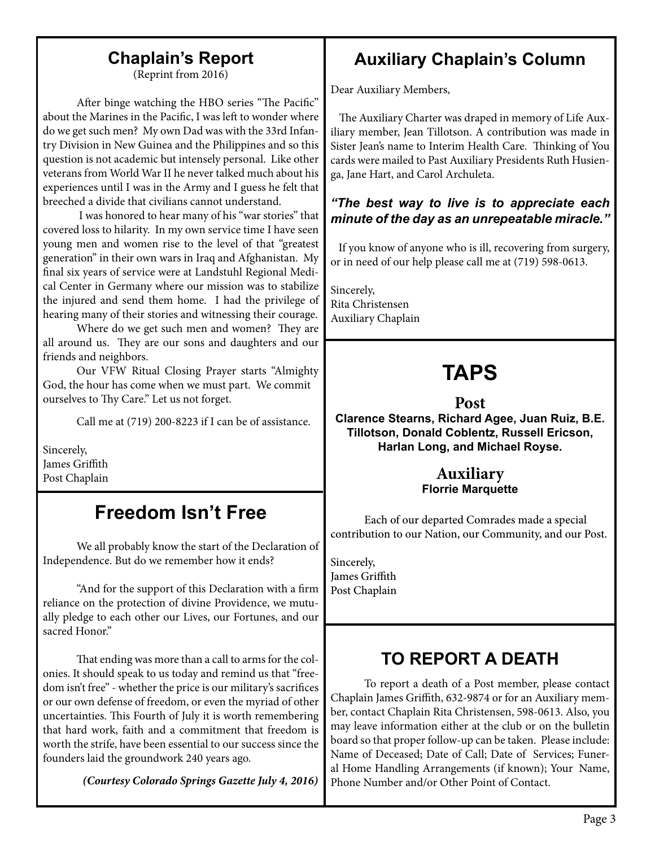### **Chaplain's Report**

(Reprint from 2016)

After binge watching the HBO series "The Pacific" about the Marines in the Pacific, I was left to wonder where do we get such men? My own Dad was with the 33rd Infantry Division in New Guinea and the Philippines and so this question is not academic but intensely personal. Like other veterans from World War II he never talked much about his experiences until I was in the Army and I guess he felt that breeched a divide that civilians cannot understand.

 I was honored to hear many of his "war stories" that covered loss to hilarity. In my own service time I have seen young men and women rise to the level of that "greatest generation" in their own wars in Iraq and Afghanistan. My final six years of service were at Landstuhl Regional Medical Center in Germany where our mission was to stabilize the injured and send them home. I had the privilege of hearing many of their stories and witnessing their courage.

Where do we get such men and women? They are all around us. They are our sons and daughters and our friends and neighbors.

Our VFW Ritual Closing Prayer starts "Almighty God, the hour has come when we must part. We commit ourselves to Thy Care." Let us not forget.

Call me at (719) 200-8223 if I can be of assistance.

Sincerely, James Griffith Post Chaplain

### **Freedom Isn't Free**

We all probably know the start of the Declaration of Independence. But do we remember how it ends?

"And for the support of this Declaration with a firm reliance on the protection of divine Providence, we mutually pledge to each other our Lives, our Fortunes, and our sacred Honor"

That ending was more than a call to arms for the colonies. It should speak to us today and remind us that "freedom isn't free" - whether the price is our military's sacrifices or our own defense of freedom, or even the myriad of other uncertainties. This Fourth of July it is worth remembering that hard work, faith and a commitment that freedom is worth the strife, have been essential to our success since the founders laid the groundwork 240 years ago.

*(Courtesy Colorado Springs Gazette July 4, 2016)*

### **Auxiliary Chaplain's Column**

Dear Auxiliary Members,

The Auxiliary Charter was draped in memory of Life Auxiliary member, Jean Tillotson. A contribution was made in Sister Jean's name to Interim Health Care. Thinking of You cards were mailed to Past Auxiliary Presidents Ruth Husienga, Jane Hart, and Carol Archuleta.

#### *"The best way to live is to appreciate each minute of the day as an unrepeatable miracle."*

 If you know of anyone who is ill, recovering from surgery, or in need of our help please call me at (719) 598-0613.

Sincerely, Rita Christensen Auxiliary Chaplain

## **TAPS**

#### **Post**

**Clarence Stearns, Richard Agee, Juan Ruiz, B.E. Tillotson, Donald Coblentz, Russell Ericson, Harlan Long, and Michael Royse.**

#### **Auxiliary Florrie Marquette**

Each of our departed Comrades made a special contribution to our Nation, our Community, and our Post.

Sincerely, James Griffith Post Chaplain

### **TO REPORT A DEATH**

To report a death of a Post member, please contact Chaplain James Griffith, 632-9874 or for an Auxiliary member, contact Chaplain Rita Christensen, 598-0613. Also, you may leave information either at the club or on the bulletin board so that proper follow-up can be taken. Please include: Name of Deceased; Date of Call; Date of Services; Funeral Home Handling Arrangements (if known); Your Name, Phone Number and/or Other Point of Contact.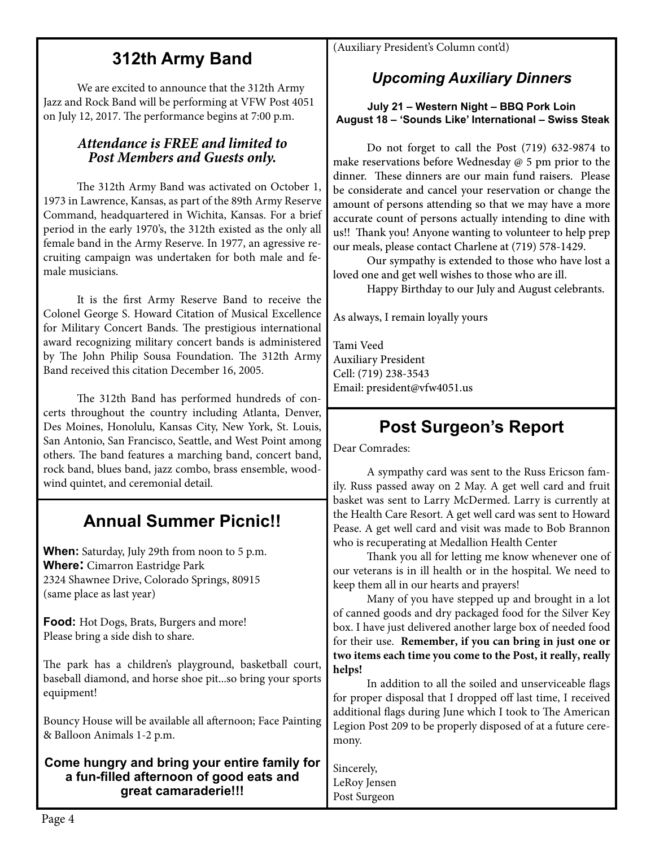### **312th Army Band**

We are excited to announce that the 312th Army Jazz and Rock Band will be performing at VFW Post 4051 on July 12, 2017. The performance begins at 7:00 p.m.

#### *Attendance is FREE and limited to Post Members and Guests only.*

The 312th Army Band was activated on October 1, 1973 in Lawrence, Kansas, as part of the 89th Army Reserve Command, headquartered in Wichita, Kansas. For a brief period in the early 1970's, the 312th existed as the only all female band in the Army Reserve. In 1977, an agressive recruiting campaign was undertaken for both male and female musicians.

It is the first Army Reserve Band to receive the Colonel George S. Howard Citation of Musical Excellence for Military Concert Bands. The prestigious international award recognizing military concert bands is administered by The John Philip Sousa Foundation. The 312th Army Band received this citation December 16, 2005.

The 312th Band has performed hundreds of concerts throughout the country including Atlanta, Denver, Des Moines, Honolulu, Kansas City, New York, St. Louis, San Antonio, San Francisco, Seattle, and West Point among others. The band features a marching band, concert band, rock band, blues band, jazz combo, brass ensemble, woodwind quintet, and ceremonial detail.

### **Annual Summer Picnic!!**

**When:** Saturday, July 29th from noon to 5 p.m. **Where:** Cimarron Eastridge Park 2324 Shawnee Drive, Colorado Springs, 80915 (same place as last year)

**Food:** Hot Dogs, Brats, Burgers and more! Please bring a side dish to share.

The park has a children's playground, basketball court, baseball diamond, and horse shoe pit...so bring your sports equipment!

Bouncy House will be available all afternoon; Face Painting & Balloon Animals 1-2 p.m.

#### **Come hungry and bring your entire family for a fun-filled afternoon of good eats and great camaraderie!!!**

(Auxiliary President's Column cont'd)

### *Upcoming Auxiliary Dinners*

**July 21 – Western Night – BBQ Pork Loin August 18 – 'Sounds Like' International – Swiss Steak**

Do not forget to call the Post (719) 632-9874 to make reservations before Wednesday @ 5 pm prior to the dinner. These dinners are our main fund raisers. Please be considerate and cancel your reservation or change the amount of persons attending so that we may have a more accurate count of persons actually intending to dine with us!! Thank you! Anyone wanting to volunteer to help prep our meals, please contact Charlene at (719) 578-1429.

Our sympathy is extended to those who have lost a loved one and get well wishes to those who are ill.

Happy Birthday to our July and August celebrants.

As always, I remain loyally yours

Tami Veed Auxiliary President Cell: (719) 238-3543 Email: president@vfw4051.us

### **Post Surgeon's Report**

Dear Comrades:

A sympathy card was sent to the Russ Ericson family. Russ passed away on 2 May. A get well card and fruit basket was sent to Larry McDermed. Larry is currently at the Health Care Resort. A get well card was sent to Howard Pease. A get well card and visit was made to Bob Brannon who is recuperating at Medallion Health Center

Thank you all for letting me know whenever one of our veterans is in ill health or in the hospital. We need to keep them all in our hearts and prayers!

 Many of you have stepped up and brought in a lot of canned goods and dry packaged food for the Silver Key box. I have just delivered another large box of needed food for their use. **Remember, if you can bring in just one or two items each time you come to the Post, it really, really helps!**

In addition to all the soiled and unserviceable flags for proper disposal that I dropped off last time, I received additional flags during June which I took to The American Legion Post 209 to be properly disposed of at a future ceremony.

Sincerely, LeRoy Jensen Post Surgeon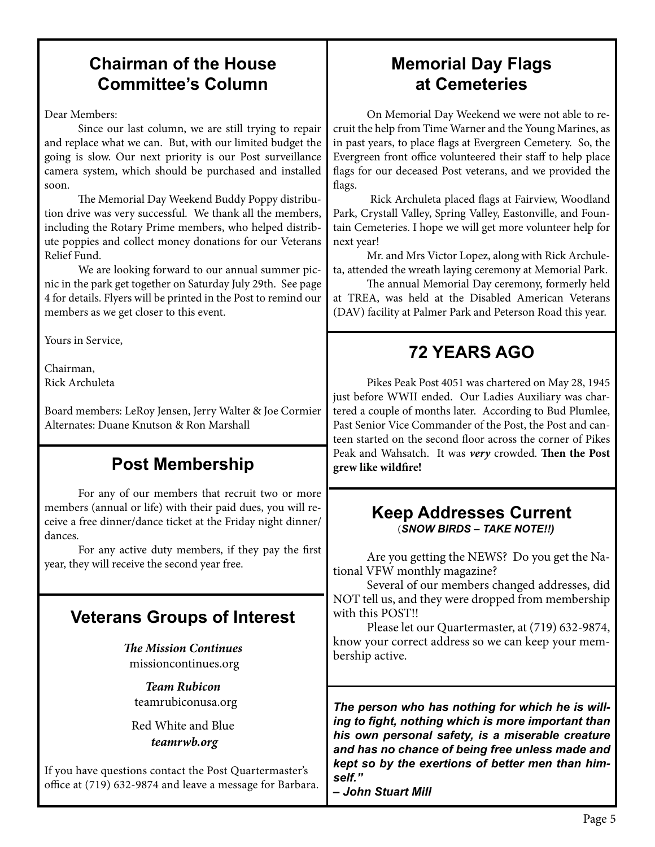### **Chairman of the House Committee's Column**

Dear Members:

Since our last column, we are still trying to repair and replace what we can. But, with our limited budget the going is slow. Our next priority is our Post surveillance camera system, which should be purchased and installed soon.

The Memorial Day Weekend Buddy Poppy distribution drive was very successful. We thank all the members, including the Rotary Prime members, who helped distribute poppies and collect money donations for our Veterans Relief Fund.

 We are looking forward to our annual summer picnic in the park get together on Saturday July 29th. See page 4 for details. Flyers will be printed in the Post to remind our members as we get closer to this event.

Yours in Service,

Chairman, Rick Archuleta

Board members: LeRoy Jensen, Jerry Walter & Joe Cormier Alternates: Duane Knutson & Ron Marshall

### **Post Membership**

For any of our members that recruit two or more members (annual or life) with their paid dues, you will receive a free dinner/dance ticket at the Friday night dinner/ dances.

For any active duty members, if they pay the first year, they will receive the second year free.

### **Veterans Groups of Interest**

*The Mission Continues* missioncontinues.org

*Team Rubicon* teamrubiconusa.org

Red White and Blue  *teamrwb.org*

If you have questions contact the Post Quartermaster's office at (719) 632-9874 and leave a message for Barbara.

### **Memorial Day Flags at Cemeteries**

On Memorial Day Weekend we were not able to recruit the help from Time Warner and the Young Marines, as in past years, to place flags at Evergreen Cemetery. So, the Evergreen front office volunteered their staff to help place flags for our deceased Post veterans, and we provided the flags.

 Rick Archuleta placed flags at Fairview, Woodland Park, Crystall Valley, Spring Valley, Eastonville, and Fountain Cemeteries. I hope we will get more volunteer help for next year!

Mr. and Mrs Victor Lopez, along with Rick Archuleta, attended the wreath laying ceremony at Memorial Park.

The annual Memorial Day ceremony, formerly held at TREA, was held at the Disabled American Veterans (DAV) facility at Palmer Park and Peterson Road this year.

### **72 YEARS AGO**

Pikes Peak Post 4051 was chartered on May 28, 1945 just before WWII ended. Our Ladies Auxiliary was chartered a couple of months later. According to Bud Plumlee, Past Senior Vice Commander of the Post, the Post and canteen started on the second floor across the corner of Pikes Peak and Wahsatch. It was *very* crowded. **Then the Post grew like wildfire!**

#### **Keep Addresses Current**(*SNOW BIRDS – TAKE NOTE!!)*

Are you getting the NEWS? Do you get the National VFW monthly magazine?

Several of our members changed addresses, did NOT tell us, and they were dropped from membership with this POST!!

Please let our Quartermaster, at (719) 632-9874, know your correct address so we can keep your membership active.

*The person who has nothing for which he is willing to fight, nothing which is more important than his own personal safety, is a miserable creature and has no chance of being free unless made and kept so by the exertions of better men than himself."*

*– John Stuart Mill*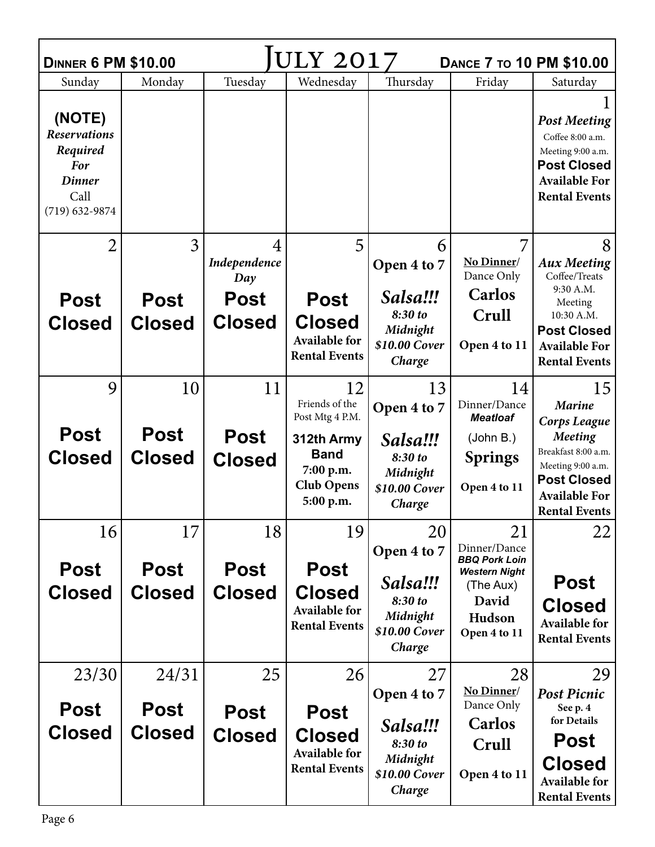| ULY 2017<br><b>DINNER 6 PM \$10.00</b><br><b>DANCE 7 TO 10 PM \$10.00</b>                              |                  |                                         |                                              |                                     |                                                                           |                                                                                                                                    |  |  |
|--------------------------------------------------------------------------------------------------------|------------------|-----------------------------------------|----------------------------------------------|-------------------------------------|---------------------------------------------------------------------------|------------------------------------------------------------------------------------------------------------------------------------|--|--|
| Sunday                                                                                                 | Monday           | Tuesday                                 | Wednesday                                    | Thursday                            | Friday                                                                    | Saturday                                                                                                                           |  |  |
| (NOTE)<br><b>Reservations</b><br>Required<br><b>For</b><br><b>Dinner</b><br>Call<br>$(719) 632 - 9874$ |                  |                                         |                                              |                                     |                                                                           | <b>Post Meeting</b><br>Coffee 8:00 a.m.<br>Meeting 9:00 a.m.<br><b>Post Closed</b><br><b>Available For</b><br><b>Rental Events</b> |  |  |
| $\overline{2}$<br><b>Post</b>                                                                          | 3<br><b>Post</b> | 4<br>Independence<br>Day<br><b>Post</b> | 5<br><b>Post</b>                             | 6<br>Open 4 to 7<br>Salsa!!!        | No Dinner/<br>Dance Only<br><b>Carlos</b>                                 | 8<br><b>Aux Meeting</b><br>Coffee/Treats<br>9:30 A.M.<br>Meeting                                                                   |  |  |
| <b>Closed</b>                                                                                          | <b>Closed</b>    | <b>Closed</b>                           | <b>Closed</b>                                | 8:30 to                             | Crull                                                                     | 10:30 A.M.                                                                                                                         |  |  |
|                                                                                                        |                  |                                         | <b>Available for</b><br><b>Rental Events</b> | Midnight<br>\$10.00 Cover<br>Charge | Open 4 to 11                                                              | <b>Post Closed</b><br><b>Available For</b><br><b>Rental Events</b>                                                                 |  |  |
| 9                                                                                                      | 10               | 11                                      | 12                                           | 13                                  | 14                                                                        | 15                                                                                                                                 |  |  |
|                                                                                                        |                  |                                         | Friends of the<br>Post Mtg 4 P.M.            | Open 4 to 7                         | Dinner/Dance<br><b>Meatloaf</b>                                           | <b>Marine</b><br><b>Corps League</b>                                                                                               |  |  |
| <b>Post</b>                                                                                            | <b>Post</b>      | <b>Post</b>                             | 312th Army                                   | Salsa!!!                            | (John B.)                                                                 | <b>Meeting</b>                                                                                                                     |  |  |
| <b>Closed</b>                                                                                          | <b>Closed</b>    | <b>Closed</b>                           | <b>Band</b>                                  | 8:30 to                             | <b>Springs</b>                                                            | Breakfast 8:00 a.m.<br>Meeting 9:00 a.m.                                                                                           |  |  |
|                                                                                                        |                  |                                         | 7:00 p.m.<br><b>Club Opens</b><br>5:00 p.m.  | Midnight<br>\$10.00 Cover<br>Charge | Open 4 to 11                                                              | <b>Post Closed</b><br><b>Available For</b><br><b>Rental Events</b>                                                                 |  |  |
| 16                                                                                                     | 17               | 18                                      | 19                                           | 20                                  | 21                                                                        | 22                                                                                                                                 |  |  |
| <b>Post</b>                                                                                            | <b>Post</b>      | <b>Post</b>                             | <b>Post</b>                                  | Open 4 to 7<br>Salsa!!!             | Dinner/Dance<br><b>BBQ Pork Loin</b><br><b>Western Night</b><br>(The Aux) | <b>Post</b>                                                                                                                        |  |  |
| <b>Closed</b>                                                                                          | <b>Closed</b>    | <b>Closed</b>                           | <b>Closed</b><br><b>Available for</b>        | 8:30 to                             | David                                                                     | <b>Closed</b>                                                                                                                      |  |  |
|                                                                                                        |                  |                                         | <b>Rental Events</b>                         | Midnight<br>\$10.00 Cover<br>Charge | Hudson<br>Open 4 to 11                                                    | <b>Available for</b><br><b>Rental Events</b>                                                                                       |  |  |
| 23/30                                                                                                  | 24/31            | 25                                      | 26                                           | 27                                  | 28                                                                        | 29                                                                                                                                 |  |  |
| <b>Post</b>                                                                                            | <b>Post</b>      | <b>Post</b>                             | <b>Post</b>                                  | Open 4 to 7                         | No Dinner/<br>Dance Only                                                  | <b>Post Picnic</b><br>See p. 4                                                                                                     |  |  |
| <b>Closed</b>                                                                                          | <b>Closed</b>    | <b>Closed</b>                           | <b>Closed</b>                                | Salsa!!!                            | <b>Carlos</b>                                                             | for Details                                                                                                                        |  |  |
|                                                                                                        |                  |                                         | <b>Available for</b>                         | 8:30 to<br>Midnight                 | Crull                                                                     | Post                                                                                                                               |  |  |
|                                                                                                        |                  |                                         | <b>Rental Events</b>                         | \$10.00 Cover<br>Charge             | Open 4 to 11                                                              | <b>Closed</b><br><b>Available for</b><br><b>Rental Events</b>                                                                      |  |  |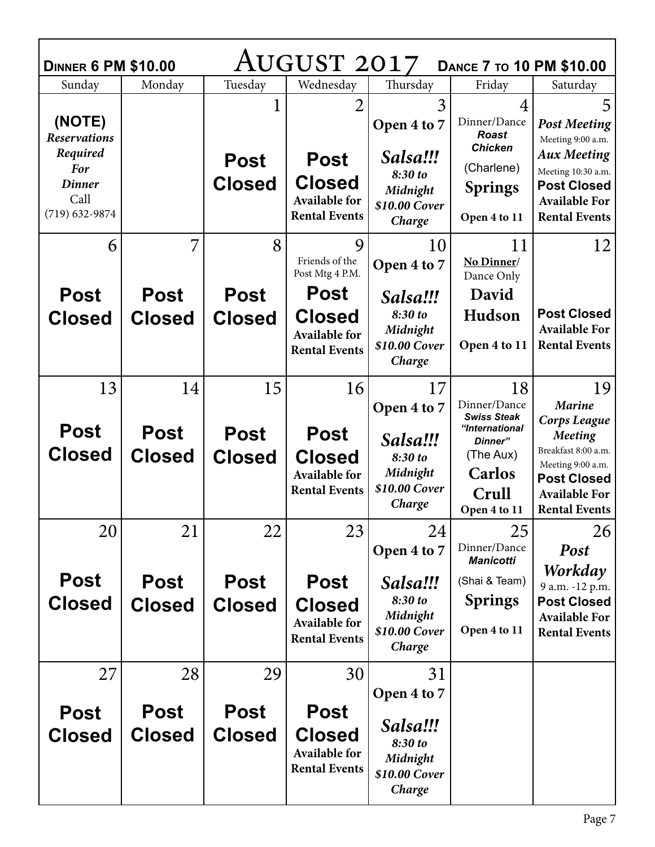| AUGUST 2017<br><b>DANCE 7 TO 10 PM \$10.00</b><br><b>DINNER 6 PM \$10.00</b> |                              |                              |                                                                              |                                                            |                                                                |                                                                                                                                     |  |  |  |
|------------------------------------------------------------------------------|------------------------------|------------------------------|------------------------------------------------------------------------------|------------------------------------------------------------|----------------------------------------------------------------|-------------------------------------------------------------------------------------------------------------------------------------|--|--|--|
| Sunday                                                                       | Monday                       | Tuesday                      | Wednesday                                                                    | Thursday                                                   | Friday                                                         | Saturday                                                                                                                            |  |  |  |
| (NOTE)<br><b>Reservations</b>                                                |                              |                              | 2                                                                            | 3<br>Open 4 to 7                                           | 4<br>Dinner/Dance<br><b>Roast</b>                              | 5<br><b>Post Meeting</b>                                                                                                            |  |  |  |
| Required<br><b>For</b><br><b>Dinner</b><br>Call<br>$(719)$ 632-9874          |                              | <b>Post</b><br><b>Closed</b> | <b>Post</b><br><b>Closed</b><br><b>Available for</b><br><b>Rental Events</b> | Salsa!!!<br>8:30 to<br>Midnight<br>\$10.00 Cover<br>Charge | <b>Chicken</b><br>(Charlene)<br><b>Springs</b><br>Open 4 to 11 | Meeting 9:00 a.m.<br><b>Aux Meeting</b><br>Meeting 10:30 a.m.<br><b>Post Closed</b><br><b>Available For</b><br><b>Rental Events</b> |  |  |  |
| 6                                                                            | 7                            | 8                            | 9<br>Friends of the<br>Post Mtg 4 P.M.                                       | 10<br>Open 4 to 7                                          | 11<br>No Dinner/<br>Dance Only                                 | 12                                                                                                                                  |  |  |  |
| <b>Post</b>                                                                  | <b>Post</b>                  | <b>Post</b>                  | <b>Post</b>                                                                  | Salsa!!!                                                   | David                                                          |                                                                                                                                     |  |  |  |
| <b>Closed</b>                                                                | <b>Closed</b>                | <b>Closed</b>                | <b>Closed</b><br><b>Available for</b><br><b>Rental Events</b>                | 8:30 to<br>Midnight<br>\$10.00 Cover<br>Charge             | Hudson<br>Open 4 to 11                                         | <b>Post Closed</b><br><b>Available For</b><br><b>Rental Events</b>                                                                  |  |  |  |
| 13                                                                           | 14                           | 15                           | 16                                                                           | 17                                                         | 18                                                             | 19                                                                                                                                  |  |  |  |
|                                                                              |                              |                              |                                                                              | Open 4 to 7                                                | Dinner/Dance<br><b>Swiss Steak</b>                             | <b>Marine</b><br>Corps League                                                                                                       |  |  |  |
|                                                                              |                              |                              |                                                                              |                                                            |                                                                |                                                                                                                                     |  |  |  |
| <b>Post</b>                                                                  | <b>Post</b>                  | <b>Post</b>                  | <b>Post</b>                                                                  |                                                            | "International<br>Dinner"                                      | <b>Meeting</b>                                                                                                                      |  |  |  |
| <b>Closed</b>                                                                | <b>Closed</b>                | <b>Closed</b>                | <b>Closed</b>                                                                | Salsa!!!<br>8:30 to                                        | (The Aux)                                                      | Breakfast 8:00 a.m.                                                                                                                 |  |  |  |
|                                                                              |                              |                              | <b>Available for</b>                                                         | Midnight                                                   | <b>Carlos</b>                                                  | Meeting 9:00 a.m.<br><b>Post Closed</b>                                                                                             |  |  |  |
|                                                                              |                              |                              | <b>Rental Events</b>                                                         | \$10.00 Cover<br>Charge                                    | Crull<br>Open 4 to 11                                          | <b>Available For</b><br><b>Rental Events</b>                                                                                        |  |  |  |
| 20                                                                           | 21                           | 22                           | 23                                                                           | 24                                                         | 25                                                             |                                                                                                                                     |  |  |  |
|                                                                              |                              |                              |                                                                              | Open 4 to 7                                                | Dinner/Dance<br><b>Manicotti</b>                               | 26<br>Post                                                                                                                          |  |  |  |
| <b>Post</b>                                                                  | <b>Post</b>                  | <b>Post</b>                  | <b>Post</b>                                                                  | Salsa!!!                                                   | (Shai & Team)                                                  | Workday<br>9 a.m. -12 p.m.                                                                                                          |  |  |  |
| <b>Closed</b>                                                                | <b>Closed</b>                | <b>Closed</b>                | <b>Closed</b>                                                                | 8:30 to                                                    | <b>Springs</b>                                                 | <b>Post Closed</b>                                                                                                                  |  |  |  |
|                                                                              |                              |                              | <b>Available for</b>                                                         | Midnight<br>\$10.00 Cover                                  | Open 4 to 11                                                   | <b>Available For</b><br><b>Rental Events</b>                                                                                        |  |  |  |
|                                                                              |                              |                              | <b>Rental Events</b>                                                         | Charge                                                     |                                                                |                                                                                                                                     |  |  |  |
| 27                                                                           | 28                           | 29                           | 30                                                                           | 31                                                         |                                                                |                                                                                                                                     |  |  |  |
|                                                                              |                              |                              |                                                                              | Open 4 to 7                                                |                                                                |                                                                                                                                     |  |  |  |
| <b>Post</b><br><b>Closed</b>                                                 | <b>Post</b><br><b>Closed</b> | <b>Post</b><br><b>Closed</b> | <b>Post</b><br><b>Closed</b><br><b>Available for</b><br><b>Rental Events</b> | Salsa!!!<br>8:30 to<br>Midnight<br>\$10.00 Cover<br>Charge |                                                                |                                                                                                                                     |  |  |  |